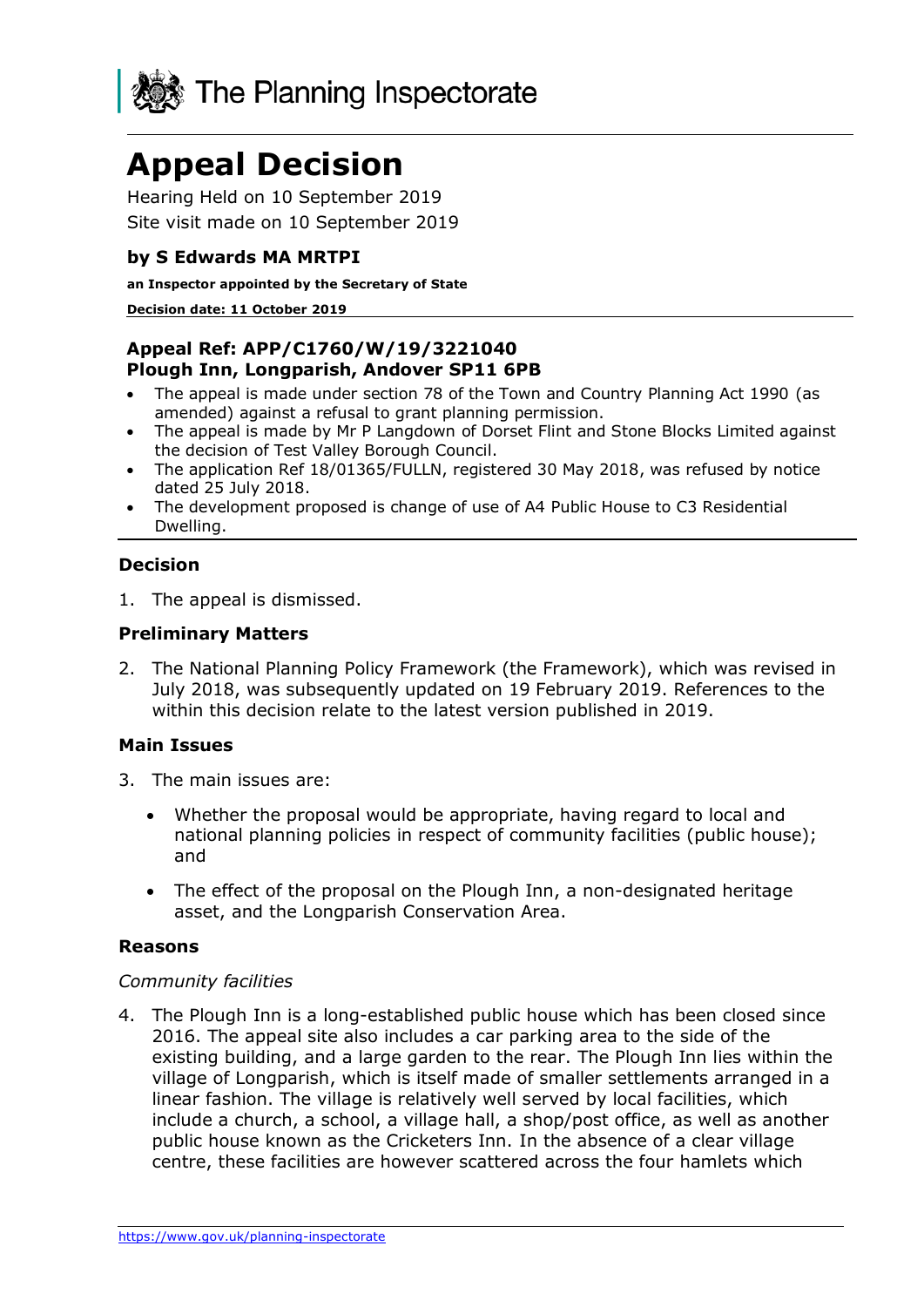

# **Appeal Decision**

Hearing Held on 10 September 2019 Site visit made on 10 September 2019

## **by S Edwards MA MRTPI**

#### **an Inspector appointed by the Secretary of State**

#### **Decision date: 11 October 2019**

## **Appeal Ref: APP/C1760/W/19/3221040 Plough Inn, Longparish, Andover SP11 6PB**

- The appeal is made under section 78 of the Town and Country Planning Act 1990 (as amended) against a refusal to grant planning permission.
- The appeal is made by Mr P Langdown of Dorset Flint and Stone Blocks Limited against the decision of Test Valley Borough Council.
- The application Ref 18/01365/FULLN, registered 30 May 2018, was refused by notice dated 25 July 2018.
- The development proposed is change of use of A4 Public House to C3 Residential Dwelling.

# **Decision**

1. The appeal is dismissed.

### **Preliminary Matters**

2. The National Planning Policy Framework (the Framework), which was revised in July 2018, was subsequently updated on 19 February 2019. References to the within this decision relate to the latest version published in 2019.

### **Main Issues**

- 3. The main issues are:
	- Whether the proposal would be appropriate, having regard to local and national planning policies in respect of community facilities (public house); and
	- The effect of the proposal on the Plough Inn, a non-designated heritage asset, and the Longparish Conservation Area.

#### **Reasons**

#### *Community facilities*

4. The Plough Inn is a long-established public house which has been closed since 2016. The appeal site also includes a car parking area to the side of the existing building, and a large garden to the rear. The Plough Inn lies within the village of Longparish, which is itself made of smaller settlements arranged in a linear fashion. The village is relatively well served by local facilities, which include a church, a school, a village hall, a shop/post office, as well as another public house known as the Cricketers Inn. In the absence of a clear village centre, these facilities are however scattered across the four hamlets which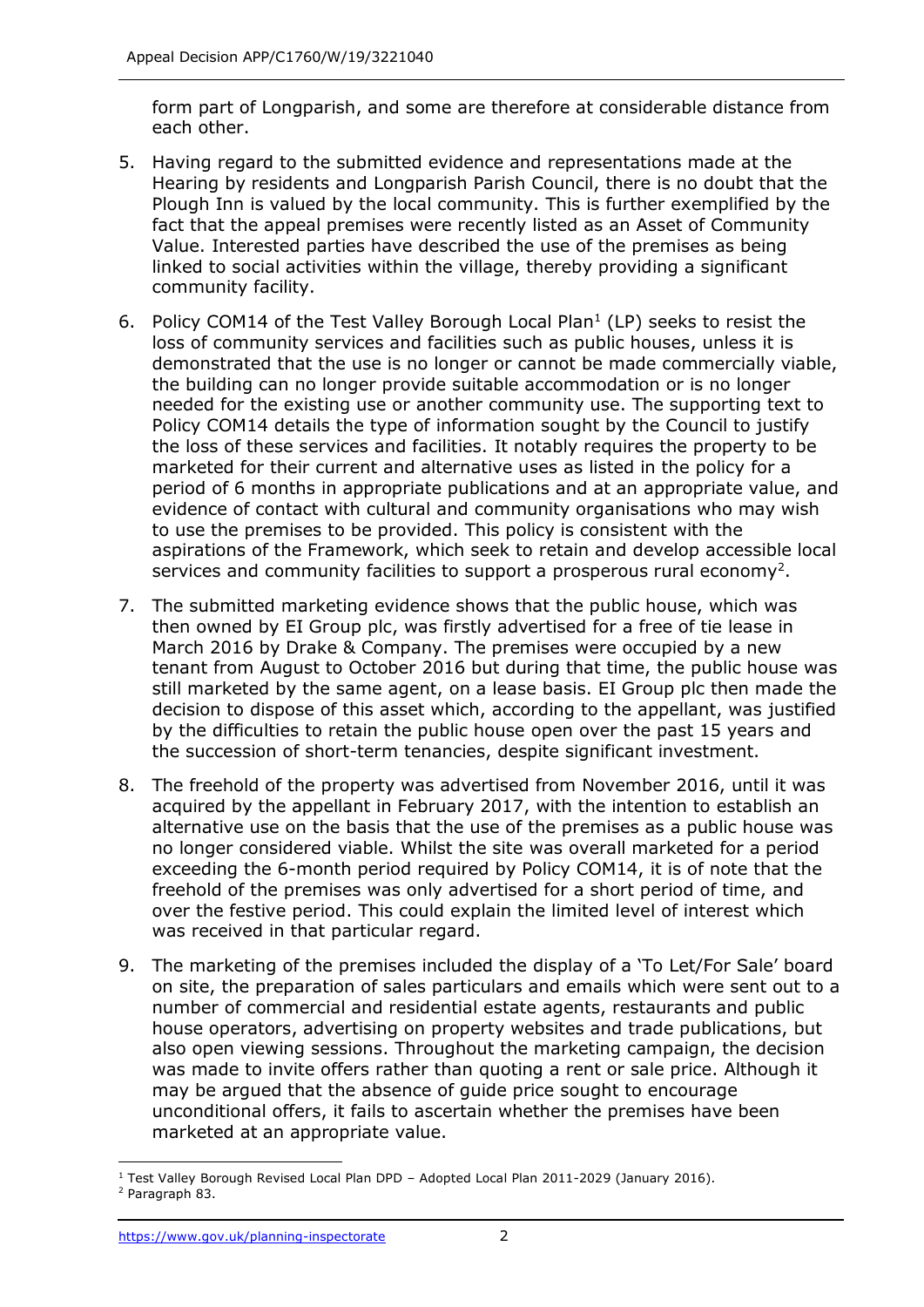form part of Longparish, and some are therefore at considerable distance from each other.

- 5. Having regard to the submitted evidence and representations made at the Hearing by residents and Longparish Parish Council, there is no doubt that the Plough Inn is valued by the local community. This is further exemplified by the fact that the appeal premises were recently listed as an Asset of Community Value. Interested parties have described the use of the premises as being linked to social activities within the village, thereby providing a significant community facility.
- 6. Policy COM14 of the Test Valley Borough Local Plan $<sup>1</sup>$  (LP) seeks to resist the</sup> loss of community services and facilities such as public houses, unless it is demonstrated that the use is no longer or cannot be made commercially viable, the building can no longer provide suitable accommodation or is no longer needed for the existing use or another community use. The supporting text to Policy COM14 details the type of information sought by the Council to justify the loss of these services and facilities. It notably requires the property to be marketed for their current and alternative uses as listed in the policy for a period of 6 months in appropriate publications and at an appropriate value, and evidence of contact with cultural and community organisations who may wish to use the premises to be provided. This policy is consistent with the aspirations of the Framework, which seek to retain and develop accessible local services and community facilities to support a prosperous rural economy<sup>2</sup>.
- 7. The submitted marketing evidence shows that the public house, which was then owned by EI Group plc, was firstly advertised for a free of tie lease in March 2016 by Drake & Company. The premises were occupied by a new tenant from August to October 2016 but during that time, the public house was still marketed by the same agent, on a lease basis. EI Group plc then made the decision to dispose of this asset which, according to the appellant, was justified by the difficulties to retain the public house open over the past 15 years and the succession of short-term tenancies, despite significant investment.
- 8. The freehold of the property was advertised from November 2016, until it was acquired by the appellant in February 2017, with the intention to establish an alternative use on the basis that the use of the premises as a public house was no longer considered viable. Whilst the site was overall marketed for a period exceeding the 6-month period required by Policy COM14, it is of note that the freehold of the premises was only advertised for a short period of time, and over the festive period. This could explain the limited level of interest which was received in that particular regard.
- 9. The marketing of the premises included the display of a 'To Let/For Sale' board on site, the preparation of sales particulars and emails which were sent out to a number of commercial and residential estate agents, restaurants and public house operators, advertising on property websites and trade publications, but also open viewing sessions. Throughout the marketing campaign, the decision was made to invite offers rather than quoting a rent or sale price. Although it may be argued that the absence of guide price sought to encourage unconditional offers, it fails to ascertain whether the premises have been marketed at an appropriate value.

<sup>-</sup> $1$  Test Valley Borough Revised Local Plan DPD – Adopted Local Plan 2011-2029 (January 2016). <sup>2</sup> Paragraph 83.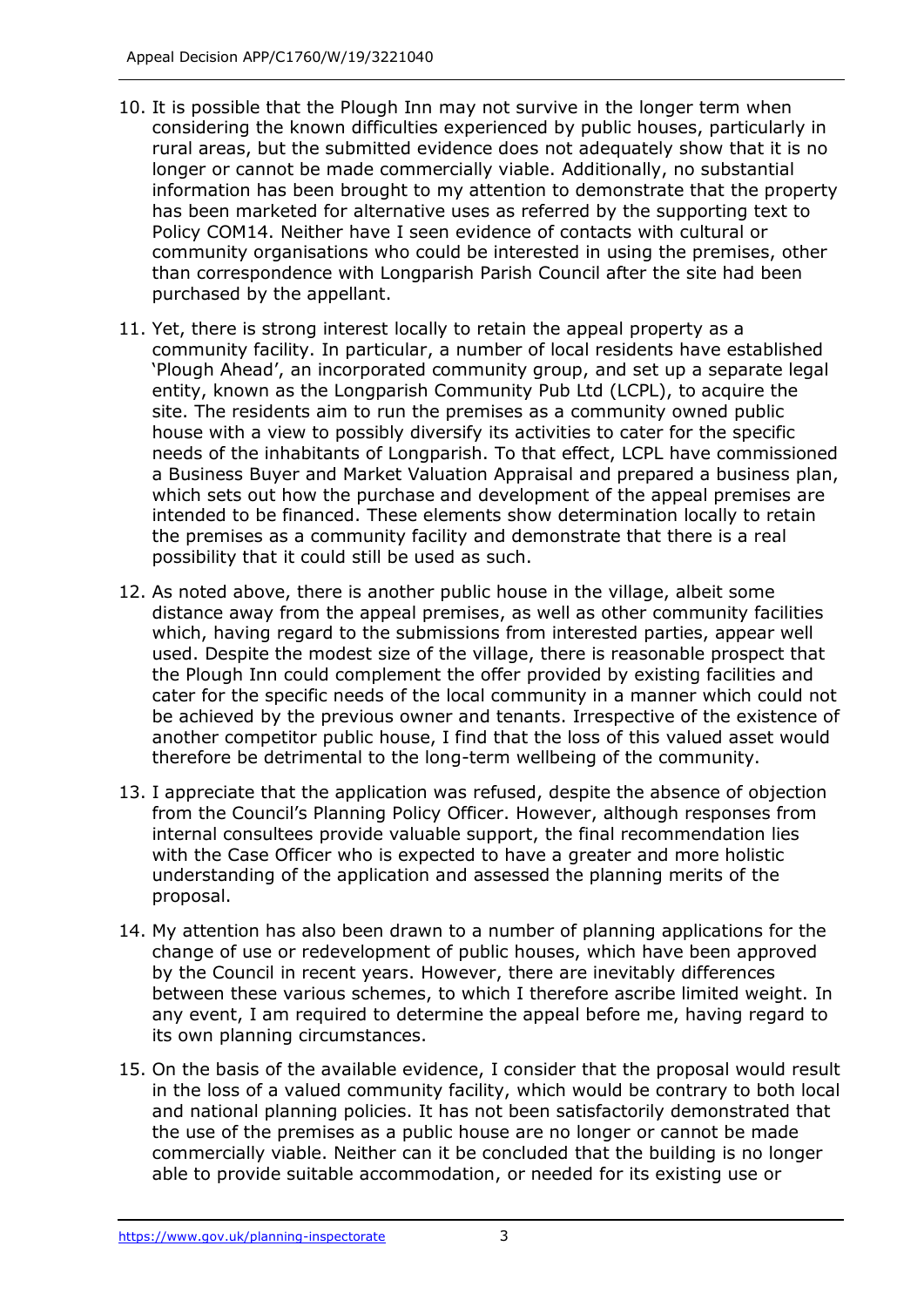- 10. It is possible that the Plough Inn may not survive in the longer term when considering the known difficulties experienced by public houses, particularly in rural areas, but the submitted evidence does not adequately show that it is no longer or cannot be made commercially viable. Additionally, no substantial information has been brought to my attention to demonstrate that the property has been marketed for alternative uses as referred by the supporting text to Policy COM14. Neither have I seen evidence of contacts with cultural or community organisations who could be interested in using the premises, other than correspondence with Longparish Parish Council after the site had been purchased by the appellant.
- 11. Yet, there is strong interest locally to retain the appeal property as a community facility. In particular, a number of local residents have established 'Plough Ahead', an incorporated community group, and set up a separate legal entity, known as the Longparish Community Pub Ltd (LCPL), to acquire the site. The residents aim to run the premises as a community owned public house with a view to possibly diversify its activities to cater for the specific needs of the inhabitants of Longparish. To that effect, LCPL have commissioned a Business Buyer and Market Valuation Appraisal and prepared a business plan, which sets out how the purchase and development of the appeal premises are intended to be financed. These elements show determination locally to retain the premises as a community facility and demonstrate that there is a real possibility that it could still be used as such.
- 12. As noted above, there is another public house in the village, albeit some distance away from the appeal premises, as well as other community facilities which, having regard to the submissions from interested parties, appear well used. Despite the modest size of the village, there is reasonable prospect that the Plough Inn could complement the offer provided by existing facilities and cater for the specific needs of the local community in a manner which could not be achieved by the previous owner and tenants. Irrespective of the existence of another competitor public house, I find that the loss of this valued asset would therefore be detrimental to the long-term wellbeing of the community.
- 13. I appreciate that the application was refused, despite the absence of objection from the Council's Planning Policy Officer. However, although responses from internal consultees provide valuable support, the final recommendation lies with the Case Officer who is expected to have a greater and more holistic understanding of the application and assessed the planning merits of the proposal.
- 14. My attention has also been drawn to a number of planning applications for the change of use or redevelopment of public houses, which have been approved by the Council in recent years. However, there are inevitably differences between these various schemes, to which I therefore ascribe limited weight. In any event, I am required to determine the appeal before me, having regard to its own planning circumstances.
- 15. On the basis of the available evidence, I consider that the proposal would result in the loss of a valued community facility, which would be contrary to both local and national planning policies. It has not been satisfactorily demonstrated that the use of the premises as a public house are no longer or cannot be made commercially viable. Neither can it be concluded that the building is no longer able to provide suitable accommodation, or needed for its existing use or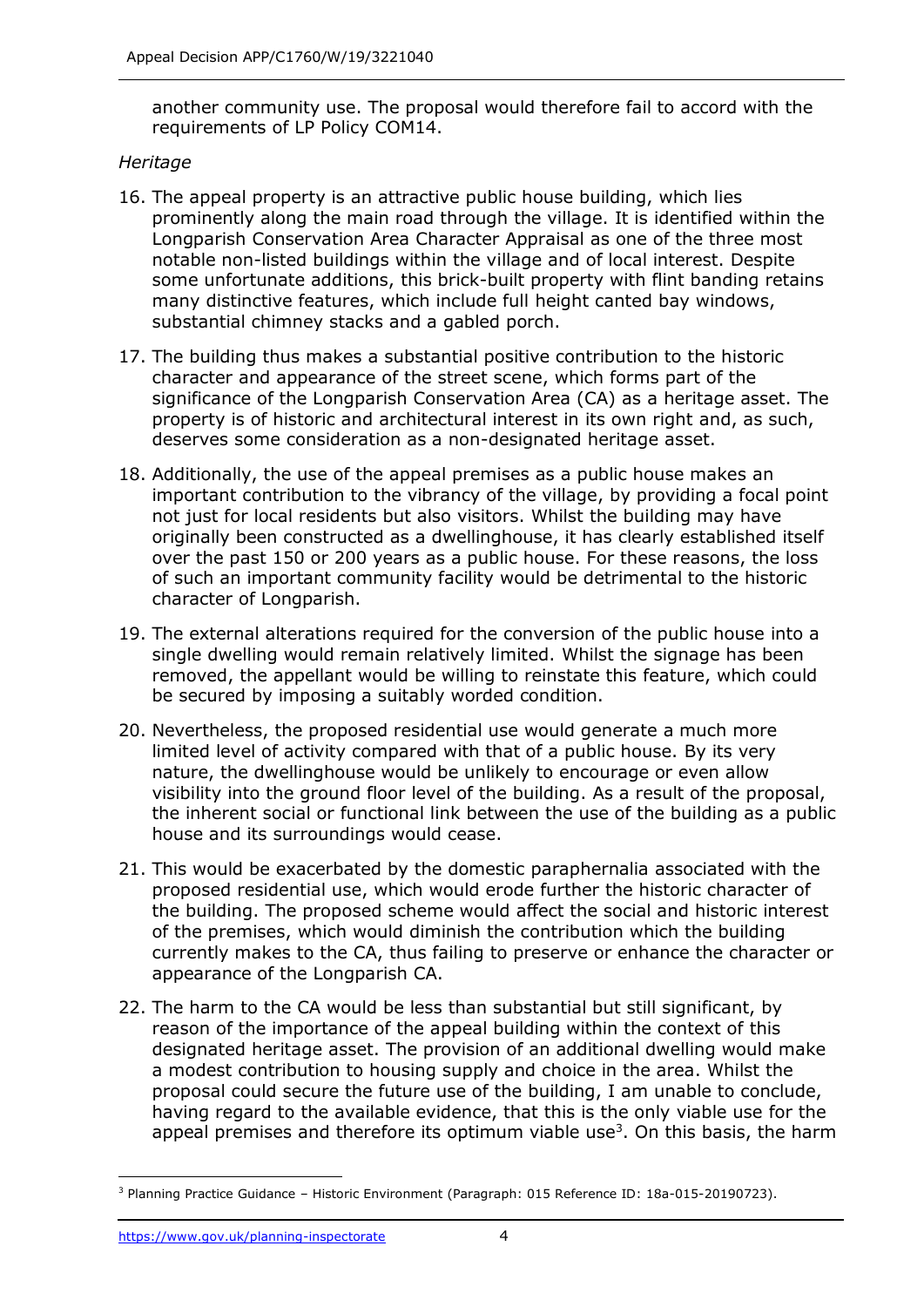another community use. The proposal would therefore fail to accord with the requirements of LP Policy COM14.

### *Heritage*

- 16. The appeal property is an attractive public house building, which lies prominently along the main road through the village. It is identified within the Longparish Conservation Area Character Appraisal as one of the three most notable non-listed buildings within the village and of local interest. Despite some unfortunate additions, this brick-built property with flint banding retains many distinctive features, which include full height canted bay windows, substantial chimney stacks and a gabled porch.
- 17. The building thus makes a substantial positive contribution to the historic character and appearance of the street scene, which forms part of the significance of the Longparish Conservation Area (CA) as a heritage asset. The property is of historic and architectural interest in its own right and, as such, deserves some consideration as a non-designated heritage asset.
- 18. Additionally, the use of the appeal premises as a public house makes an important contribution to the vibrancy of the village, by providing a focal point not just for local residents but also visitors. Whilst the building may have originally been constructed as a dwellinghouse, it has clearly established itself over the past 150 or 200 years as a public house. For these reasons, the loss of such an important community facility would be detrimental to the historic character of Longparish.
- 19. The external alterations required for the conversion of the public house into a single dwelling would remain relatively limited. Whilst the signage has been removed, the appellant would be willing to reinstate this feature, which could be secured by imposing a suitably worded condition.
- 20. Nevertheless, the proposed residential use would generate a much more limited level of activity compared with that of a public house. By its very nature, the dwellinghouse would be unlikely to encourage or even allow visibility into the ground floor level of the building. As a result of the proposal, the inherent social or functional link between the use of the building as a public house and its surroundings would cease.
- 21. This would be exacerbated by the domestic paraphernalia associated with the proposed residential use, which would erode further the historic character of the building. The proposed scheme would affect the social and historic interest of the premises, which would diminish the contribution which the building currently makes to the CA, thus failing to preserve or enhance the character or appearance of the Longparish CA.
- 22. The harm to the CA would be less than substantial but still significant, by reason of the importance of the appeal building within the context of this designated heritage asset. The provision of an additional dwelling would make a modest contribution to housing supply and choice in the area. Whilst the proposal could secure the future use of the building, I am unable to conclude, having regard to the available evidence, that this is the only viable use for the appeal premises and therefore its optimum viable use<sup>3</sup>. On this basis, the harm

j <sup>3</sup> Planning Practice Guidance – Historic Environment (Paragraph: 015 Reference ID: 18a-015-20190723).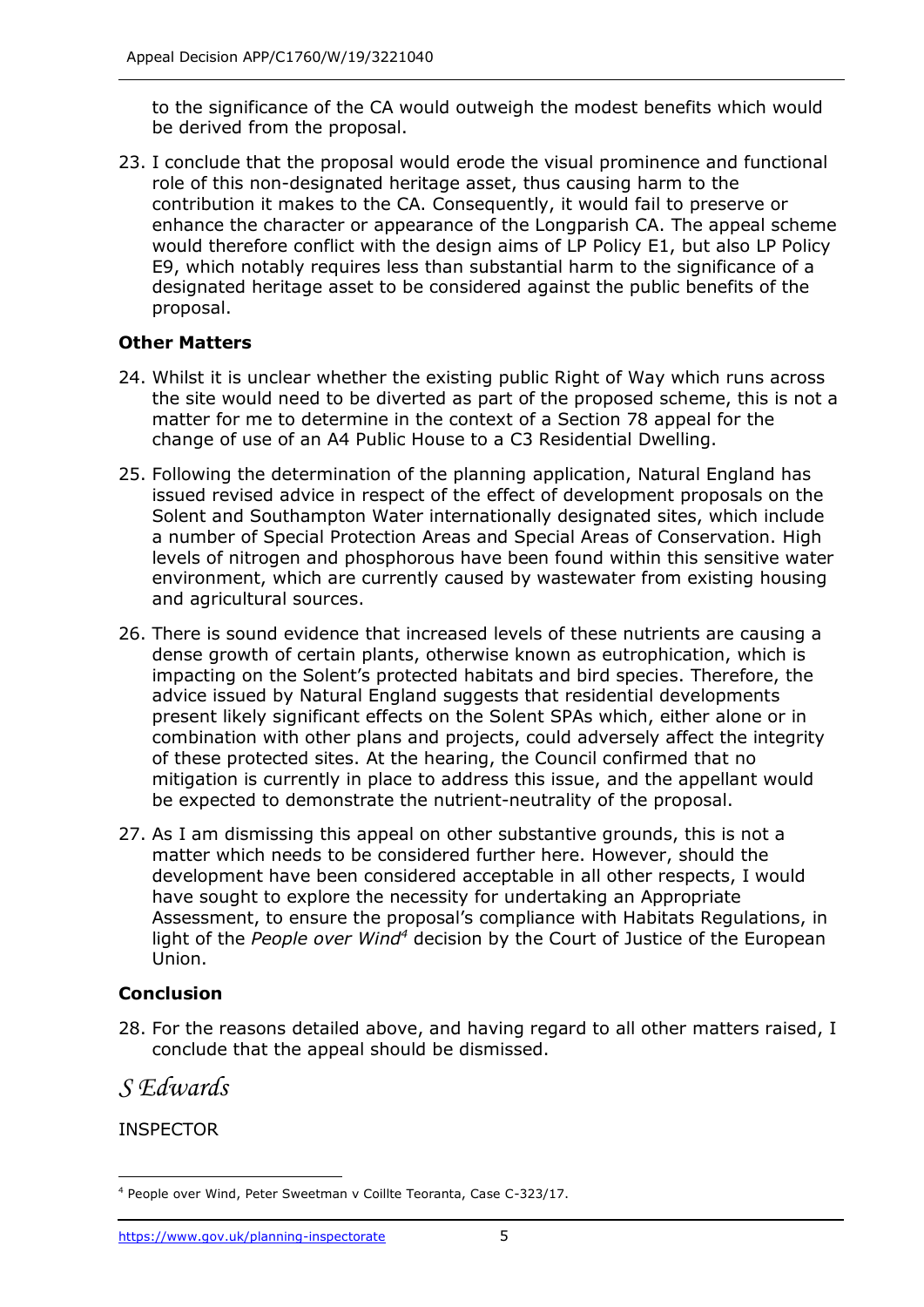to the significance of the CA would outweigh the modest benefits which would be derived from the proposal.

23. I conclude that the proposal would erode the visual prominence and functional role of this non-designated heritage asset, thus causing harm to the contribution it makes to the CA. Consequently, it would fail to preserve or enhance the character or appearance of the Longparish CA. The appeal scheme would therefore conflict with the design aims of LP Policy E1, but also LP Policy E9, which notably requires less than substantial harm to the significance of a designated heritage asset to be considered against the public benefits of the proposal.

## **Other Matters**

- 24. Whilst it is unclear whether the existing public Right of Way which runs across the site would need to be diverted as part of the proposed scheme, this is not a matter for me to determine in the context of a Section 78 appeal for the change of use of an A4 Public House to a C3 Residential Dwelling.
- 25. Following the determination of the planning application, Natural England has issued revised advice in respect of the effect of development proposals on the Solent and Southampton Water internationally designated sites, which include a number of Special Protection Areas and Special Areas of Conservation. High levels of nitrogen and phosphorous have been found within this sensitive water environment, which are currently caused by wastewater from existing housing and agricultural sources.
- 26. There is sound evidence that increased levels of these nutrients are causing a dense growth of certain plants, otherwise known as eutrophication, which is impacting on the Solent's protected habitats and bird species. Therefore, the advice issued by Natural England suggests that residential developments present likely significant effects on the Solent SPAs which, either alone or in combination with other plans and projects, could adversely affect the integrity of these protected sites. At the hearing, the Council confirmed that no mitigation is currently in place to address this issue, and the appellant would be expected to demonstrate the nutrient-neutrality of the proposal.
- 27. As I am dismissing this appeal on other substantive grounds, this is not a matter which needs to be considered further here. However, should the development have been considered acceptable in all other respects, I would have sought to explore the necessity for undertaking an Appropriate Assessment, to ensure the proposal's compliance with Habitats Regulations, in light of the *People over Wind<sup>4</sup>* decision by the Court of Justice of the European Union.

# **Conclusion**

28. For the reasons detailed above, and having regard to all other matters raised, I conclude that the appeal should be dismissed.

*S Edwards*

INSPECTOR

j <sup>4</sup> People over Wind, Peter Sweetman v Coillte Teoranta, Case C-323/17.